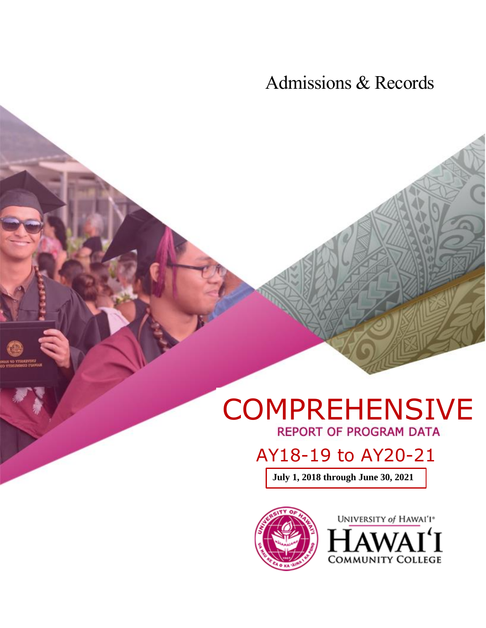Admissions & Records

# COMPREHENSIVE

## AY18-19 to AY20-21

**July 1, 2018 through June 30, 2021**



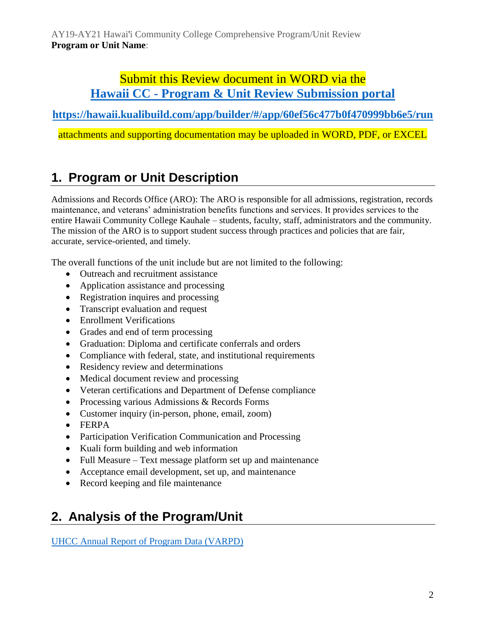## Submit this Review document in WORD via the **Hawaii CC - [Program & Unit Review Submission portal](https://hawaii.kualibuild.com/app/builder/#/app/60ef56c477b0f470999bb6e5/run)**

**<https://hawaii.kualibuild.com/app/builder/#/app/60ef56c477b0f470999bb6e5/run>**

attachments and supporting documentation may be uploaded in WORD, PDF, or EXCEL

## **1. Program or Unit Description**

Admissions and Records Office (ARO): The ARO is responsible for all admissions, registration, records maintenance, and veterans' administration benefits functions and services. It provides services to the entire Hawaii Community College Kauhale – students, faculty, staff, administrators and the community. The mission of the ARO is to support student success through practices and policies that are fair, accurate, service-oriented, and timely.

The overall functions of the unit include but are not limited to the following:

- Outreach and recruitment assistance
- Application assistance and processing
- Registration inquires and processing
- Transcript evaluation and request
- Enrollment Verifications
- Grades and end of term processing
- Graduation: Diploma and certificate conferrals and orders
- Compliance with federal, state, and institutional requirements
- Residency review and determinations
- Medical document review and processing
- Veteran certifications and Department of Defense compliance
- Processing various Admissions & Records Forms
- Customer inquiry (in-person, phone, email, zoom)
- FERPA
- Participation Verification Communication and Processing
- Kuali form building and web information
- Full Measure Text message platform set up and maintenance
- Acceptance email development, set up, and maintenance
- Record keeping and file maintenance

## **2. Analysis of the Program/Unit**

[UHCC Annual Report of Program Data \(VARPD\)](https://uhcc.hawaii.edu/varpd/)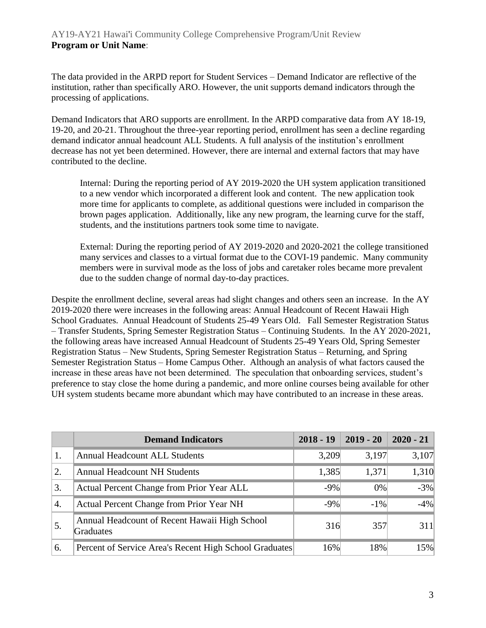The data provided in the ARPD report for Student Services – Demand Indicator are reflective of the institution, rather than specifically ARO. However, the unit supports demand indicators through the processing of applications.

Demand Indicators that ARO supports are enrollment. In the ARPD comparative data from AY 18-19, 19-20, and 20-21. Throughout the three-year reporting period, enrollment has seen a decline regarding demand indicator annual headcount ALL Students. A full analysis of the institution's enrollment decrease has not yet been determined. However, there are internal and external factors that may have contributed to the decline.

Internal: During the reporting period of AY 2019-2020 the UH system application transitioned to a new vendor which incorporated a different look and content. The new application took more time for applicants to complete, as additional questions were included in comparison the brown pages application. Additionally, like any new program, the learning curve for the staff, students, and the institutions partners took some time to navigate.

External: During the reporting period of AY 2019-2020 and 2020-2021 the college transitioned many services and classes to a virtual format due to the COVI-19 pandemic. Many community members were in survival mode as the loss of jobs and caretaker roles became more prevalent due to the sudden change of normal day-to-day practices.

Despite the enrollment decline, several areas had slight changes and others seen an increase. In the AY 2019-2020 there were increases in the following areas: Annual Headcount of Recent Hawaii High School Graduates. Annual Headcount of Students 25-49 Years Old. Fall Semester Registration Status – Transfer Students, Spring Semester Registration Status – Continuing Students. In the AY 2020-2021, the following areas have increased Annual Headcount of Students 25-49 Years Old, Spring Semester Registration Status – New Students, Spring Semester Registration Status – Returning, and Spring Semester Registration Status – Home Campus Other. Although an analysis of what factors caused the increase in these areas have not been determined. The speculation that onboarding services, student's preference to stay close the home during a pandemic, and more online courses being available for other UH system students became more abundant which may have contributed to an increase in these areas.

|                  | <b>Demand Indicators</b>                                          | $2018 - 19$ | $2019 - 20$ | $2020 - 21$ |
|------------------|-------------------------------------------------------------------|-------------|-------------|-------------|
| 1.               | <b>Annual Headcount ALL Students</b>                              | 3,209       | 3,197       | 3,107       |
| 2.               | <b>Annual Headcount NH Students</b>                               | 1,385       | 1,371       | 1,310       |
| 3.               | Actual Percent Change from Prior Year ALL                         | $-9%$       | 0%          | $-3%$       |
| $\overline{4}$ . | Actual Percent Change from Prior Year NH                          | $-9%$       | $-1\%$      | $-4%$       |
| 5.               | Annual Headcount of Recent Hawaii High School<br><b>Graduates</b> | 316         | 357         | 311         |
| 6.               | Percent of Service Area's Recent High School Graduates            | 16%         | 18%         | 15%         |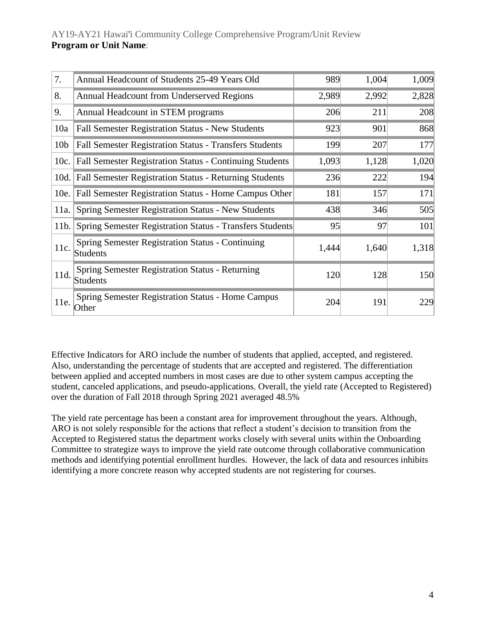| 7.              | Annual Headcount of Students 25-49 Years Old                        | 989   | 1,004 | 1,009 |
|-----------------|---------------------------------------------------------------------|-------|-------|-------|
| 8.              | Annual Headcount from Underserved Regions                           | 2,989 | 2,992 | 2,828 |
| 9.              | Annual Headcount in STEM programs                                   | 206   | 211   | 208   |
| 10a             | Fall Semester Registration Status - New Students                    | 923   | 901   | 868   |
| 10 <sub>b</sub> | <b>Fall Semester Registration Status - Transfers Students</b>       | 199   | 207   | 177   |
| 10c.            | <b>Fall Semester Registration Status - Continuing Students</b>      | 1,093 | 1,128 | 1,020 |
| 10d.            | <b>Fall Semester Registration Status - Returning Students</b>       | 236   | 222   | 194   |
| 10e.            | Fall Semester Registration Status - Home Campus Other               | 181   | 157   | 171   |
| 11a.            | Spring Semester Registration Status - New Students                  | 438   | 346   | 505   |
| 11b.            | <b>Spring Semester Registration Status - Transfers Students</b>     | 95    | 97    | 101   |
| 11c.            | Spring Semester Registration Status - Continuing<br><b>Students</b> | 1,444 | 1,640 | 1,318 |
| 11d.            | Spring Semester Registration Status - Returning<br><b>Students</b>  | 120   | 128   | 150   |
| 11e.            | <b>Spring Semester Registration Status - Home Campus</b><br>Other   | 204   | 191   | 229   |

Effective Indicators for ARO include the number of students that applied, accepted, and registered. Also, understanding the percentage of students that are accepted and registered. The differentiation between applied and accepted numbers in most cases are due to other system campus accepting the student, canceled applications, and pseudo-applications. Overall, the yield rate (Accepted to Registered) over the duration of Fall 2018 through Spring 2021 averaged 48.5%

The yield rate percentage has been a constant area for improvement throughout the years. Although, ARO is not solely responsible for the actions that reflect a student's decision to transition from the Accepted to Registered status the department works closely with several units within the Onboarding Committee to strategize ways to improve the yield rate outcome through collaborative communication methods and identifying potential enrollment hurdles. However, the lack of data and resources inhibits identifying a more concrete reason why accepted students are not registering for courses.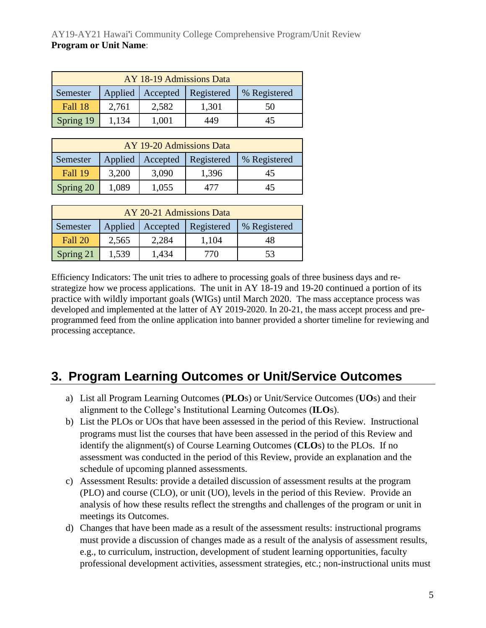| AY 18-19 Admissions Data                                             |       |       |       |    |  |  |  |
|----------------------------------------------------------------------|-------|-------|-------|----|--|--|--|
| <b>Registered</b><br>Applied<br>Accepted<br>% Registered<br>Semester |       |       |       |    |  |  |  |
| Fall 18                                                              | 2,761 | 2,582 | 1,301 | 50 |  |  |  |
| Spring 19                                                            | 1.134 | 1,001 | 449   | 45 |  |  |  |

| AY 19-20 Admissions Data                                     |       |       |       |    |  |  |
|--------------------------------------------------------------|-------|-------|-------|----|--|--|
| Applied   Accepted<br>Registered<br>Semester<br>% Registered |       |       |       |    |  |  |
| Fall 19                                                      | 3,200 | 3,090 | 1,396 | 45 |  |  |
| Spring 20                                                    | 1,089 | 1,055 | 477   | 45 |  |  |

| AY 20-21 Admissions Data |                                                          |       |       |    |  |  |
|--------------------------|----------------------------------------------------------|-------|-------|----|--|--|
| Semester                 | Applied<br>Registered<br>% Registered<br><b>Accepted</b> |       |       |    |  |  |
| Fall 20                  | 2,565                                                    | 2,284 | 1,104 | 48 |  |  |
| Spring 21                | 1,539                                                    | 1,434 | 770   | 53 |  |  |

Efficiency Indicators: The unit tries to adhere to processing goals of three business days and restrategize how we process applications. The unit in AY 18-19 and 19-20 continued a portion of its practice with wildly important goals (WIGs) until March 2020. The mass acceptance process was developed and implemented at the latter of AY 2019-2020. In 20-21, the mass accept process and preprogrammed feed from the online application into banner provided a shorter timeline for reviewing and processing acceptance.

## **3. Program Learning Outcomes or Unit/Service Outcomes**

- a) List all Program Learning Outcomes (**PLO**s) or Unit/Service Outcomes (**UO**s) and their alignment to the College's Institutional Learning Outcomes (**ILO**s).
- b) List the PLOs or UOs that have been assessed in the period of this Review. Instructional programs must list the courses that have been assessed in the period of this Review and identify the alignment(s) of Course Learning Outcomes (**CLO**s) to the PLOs. If no assessment was conducted in the period of this Review, provide an explanation and the schedule of upcoming planned assessments.
- c) Assessment Results: provide a detailed discussion of assessment results at the program (PLO) and course (CLO), or unit (UO), levels in the period of this Review. Provide an analysis of how these results reflect the strengths and challenges of the program or unit in meetings its Outcomes.
- d) Changes that have been made as a result of the assessment results: instructional programs must provide a discussion of changes made as a result of the analysis of assessment results, e.g., to curriculum, instruction, development of student learning opportunities, faculty professional development activities, assessment strategies, etc.; non-instructional units must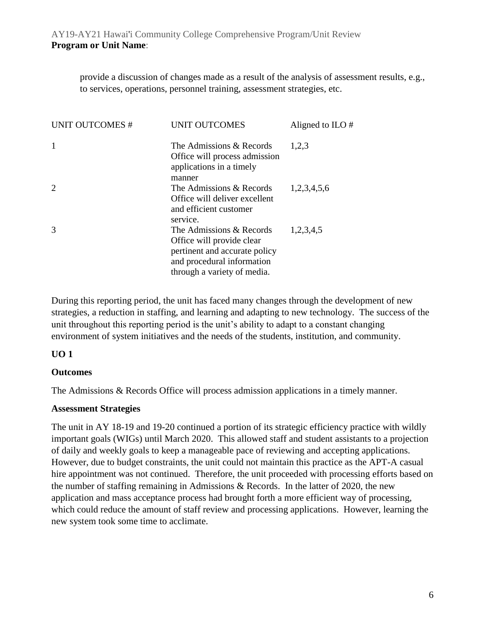provide a discussion of changes made as a result of the analysis of assessment results, e.g., to services, operations, personnel training, assessment strategies, etc.

| <b>UNIT OUTCOMES#</b> | <b>UNIT OUTCOMES</b>                                                                                                                                | Aligned to ILO $#$ |
|-----------------------|-----------------------------------------------------------------------------------------------------------------------------------------------------|--------------------|
| $\mathbf{1}$          | The Admissions & Records<br>Office will process admission<br>applications in a timely<br>manner                                                     | 1,2,3              |
| 2                     | The Admissions & Records<br>Office will deliver excellent<br>and efficient customer<br>service.                                                     | 1,2,3,4,5,6        |
| 3                     | The Admissions & Records<br>Office will provide clear<br>pertinent and accurate policy<br>and procedural information<br>through a variety of media. | 1,2,3,4,5          |

During this reporting period, the unit has faced many changes through the development of new strategies, a reduction in staffing, and learning and adapting to new technology. The success of the unit throughout this reporting period is the unit's ability to adapt to a constant changing environment of system initiatives and the needs of the students, institution, and community.

#### **UO 1**

#### **Outcomes**

The Admissions & Records Office will process admission applications in a timely manner.

#### **Assessment Strategies**

The unit in AY 18-19 and 19-20 continued a portion of its strategic efficiency practice with wildly important goals (WIGs) until March 2020. This allowed staff and student assistants to a projection of daily and weekly goals to keep a manageable pace of reviewing and accepting applications. However, due to budget constraints, the unit could not maintain this practice as the APT-A casual hire appointment was not continued. Therefore, the unit proceeded with processing efforts based on the number of staffing remaining in Admissions & Records. In the latter of 2020, the new application and mass acceptance process had brought forth a more efficient way of processing, which could reduce the amount of staff review and processing applications. However, learning the new system took some time to acclimate.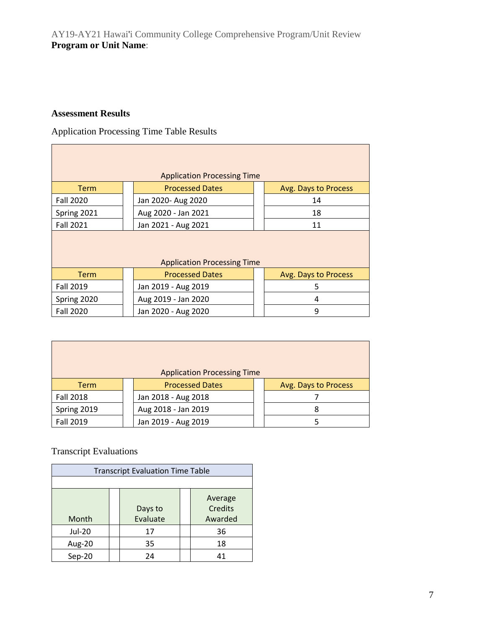#### **Assessment Results**

Application Processing Time Table Results

|                                               |                                    | <b>Application Processing Time</b> |  |                      |  |  |  |  |
|-----------------------------------------------|------------------------------------|------------------------------------|--|----------------------|--|--|--|--|
| <b>Term</b>                                   |                                    | <b>Processed Dates</b>             |  | Avg. Days to Process |  |  |  |  |
| <b>Fall 2020</b>                              |                                    | Jan 2020- Aug 2020                 |  | 14                   |  |  |  |  |
| Spring 2021                                   |                                    | Aug 2020 - Jan 2021                |  | 18                   |  |  |  |  |
| <b>Fall 2021</b><br>Jan 2021 - Aug 2021<br>11 |                                    |                                    |  |                      |  |  |  |  |
|                                               | <b>Application Processing Time</b> |                                    |  |                      |  |  |  |  |
| <b>Term</b>                                   |                                    | <b>Processed Dates</b>             |  | Avg. Days to Process |  |  |  |  |
| <b>Fall 2019</b>                              |                                    | Jan 2019 - Aug 2019                |  | 5                    |  |  |  |  |
| Spring 2020                                   |                                    | Aug 2019 - Jan 2020                |  | 4                    |  |  |  |  |
| <b>Fall 2020</b>                              |                                    | Jan 2020 - Aug 2020                |  | 9                    |  |  |  |  |

| <b>Application Processing Time</b> |                        |  |                      |  |  |  |
|------------------------------------|------------------------|--|----------------------|--|--|--|
| <b>Term</b>                        | <b>Processed Dates</b> |  | Avg. Days to Process |  |  |  |
| <b>Fall 2018</b>                   | Jan 2018 - Aug 2018    |  |                      |  |  |  |
| Spring 2019                        | Aug 2018 - Jan 2019    |  | 8                    |  |  |  |
| Fall 2019                          | Jan 2019 - Aug 2019    |  |                      |  |  |  |

#### Transcript Evaluations

| <b>Transcript Evaluation Time Table</b>                              |  |    |  |    |  |
|----------------------------------------------------------------------|--|----|--|----|--|
|                                                                      |  |    |  |    |  |
| Average<br><b>Credits</b><br>Days to<br>Evaluate<br>Awarded<br>Month |  |    |  |    |  |
| Jul-20                                                               |  | 17 |  | 36 |  |
| Aug-20                                                               |  | 35 |  | 18 |  |
| Sep-20                                                               |  | 24 |  | 41 |  |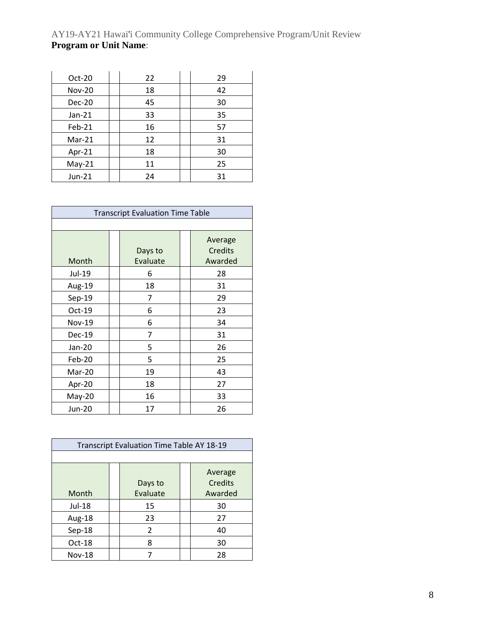| $Oct-20$      | 22 | 29 |
|---------------|----|----|
| <b>Nov-20</b> | 18 | 42 |
| Dec-20        | 45 | 30 |
| $Jan-21$      | 33 | 35 |
| Feb-21        | 16 | 57 |
| $Mar-21$      | 12 | 31 |
| Apr-21        | 18 | 30 |
| $May-21$      | 11 | 25 |
| Jun-21        | 24 | 31 |

| <b>Transcript Evaluation Time Table</b> |  |                     |  |                                      |  |  |
|-----------------------------------------|--|---------------------|--|--------------------------------------|--|--|
|                                         |  |                     |  |                                      |  |  |
| Month                                   |  | Days to<br>Evaluate |  | Average<br><b>Credits</b><br>Awarded |  |  |
| Jul-19                                  |  | 6                   |  | 28                                   |  |  |
| Aug-19                                  |  | 18                  |  | 31                                   |  |  |
| Sep-19                                  |  | 7                   |  | 29                                   |  |  |
| Oct-19                                  |  | 6                   |  | 23                                   |  |  |
| <b>Nov-19</b>                           |  | 6                   |  | 34                                   |  |  |
| <b>Dec-19</b>                           |  | 7                   |  | 31                                   |  |  |
| Jan-20                                  |  | 5                   |  | 26                                   |  |  |
| Feb-20                                  |  | 5                   |  | 25                                   |  |  |
| Mar-20                                  |  | 19                  |  | 43                                   |  |  |
| Apr-20                                  |  | 18                  |  | 27                                   |  |  |
| $May-20$                                |  | 16                  |  | 33                                   |  |  |
| Jun-20                                  |  | 17                  |  | 26                                   |  |  |

| Transcript Evaluation Time Table AY 18-19 |  |          |  |                    |  |
|-------------------------------------------|--|----------|--|--------------------|--|
|                                           |  |          |  |                    |  |
|                                           |  | Days to  |  | Average<br>Credits |  |
| Month                                     |  | Evaluate |  | Awarded            |  |
| Jul-18                                    |  | 15       |  | 30                 |  |
| Aug-18                                    |  | 23       |  | 27                 |  |
| Sep-18                                    |  | 2        |  | 40                 |  |
| $Oct-18$                                  |  | 8        |  | 30                 |  |
| <b>Nov-18</b>                             |  |          |  | 28                 |  |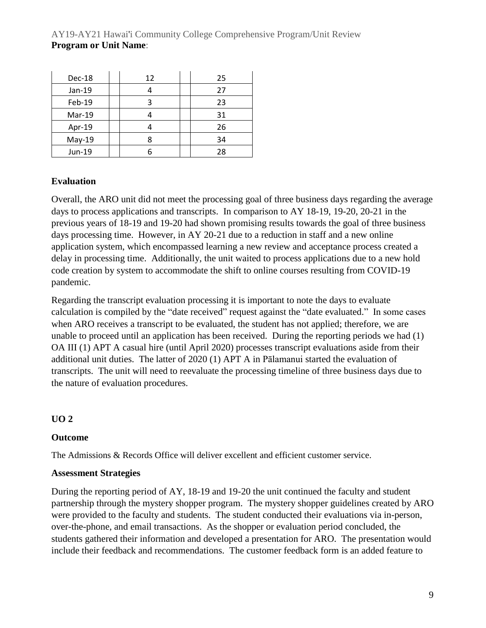| Dec-18   | 12 | 25 |
|----------|----|----|
| $Jan-19$ |    | 27 |
| Feb-19   |    | 23 |
| Mar-19   |    | 31 |
| Apr-19   |    | 26 |
| $May-19$ |    | 34 |
| Jun-19   |    | 28 |

#### **Evaluation**

Overall, the ARO unit did not meet the processing goal of three business days regarding the average days to process applications and transcripts. In comparison to AY 18-19, 19-20, 20-21 in the previous years of 18-19 and 19-20 had shown promising results towards the goal of three business days processing time. However, in AY 20-21 due to a reduction in staff and a new online application system, which encompassed learning a new review and acceptance process created a delay in processing time. Additionally, the unit waited to process applications due to a new hold code creation by system to accommodate the shift to online courses resulting from COVID-19 pandemic.

Regarding the transcript evaluation processing it is important to note the days to evaluate calculation is compiled by the "date received" request against the "date evaluated." In some cases when ARO receives a transcript to be evaluated, the student has not applied; therefore, we are unable to proceed until an application has been received. During the reporting periods we had (1) OA III (1) APT A casual hire (until April 2020) processes transcript evaluations aside from their additional unit duties. The latter of 2020 (1) APT A in Pālamanui started the evaluation of transcripts. The unit will need to reevaluate the processing timeline of three business days due to the nature of evaluation procedures.

#### **UO 2**

#### **Outcome**

The Admissions & Records Office will deliver excellent and efficient customer service.

#### **Assessment Strategies**

During the reporting period of AY, 18-19 and 19-20 the unit continued the faculty and student partnership through the mystery shopper program. The mystery shopper guidelines created by ARO were provided to the faculty and students. The student conducted their evaluations via in-person, over-the-phone, and email transactions. As the shopper or evaluation period concluded, the students gathered their information and developed a presentation for ARO. The presentation would include their feedback and recommendations. The customer feedback form is an added feature to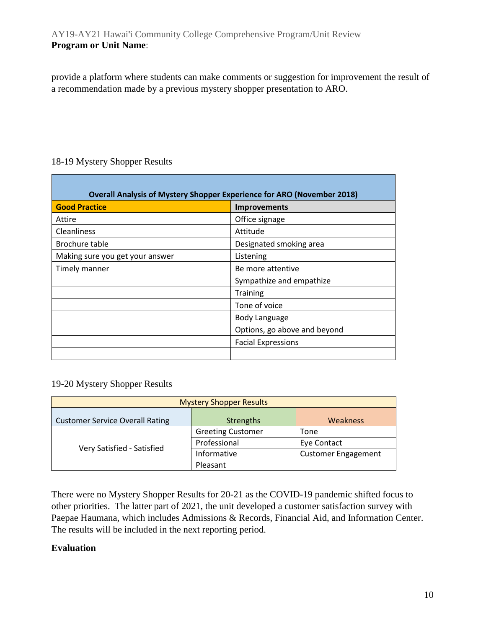provide a platform where students can make comments or suggestion for improvement the result of a recommendation made by a previous mystery shopper presentation to ARO.

#### 18-19 Mystery Shopper Results

| <b>Good Practice</b>            | Improvements                 |
|---------------------------------|------------------------------|
| Attire                          | Office signage               |
| Cleanliness                     | Attitude                     |
| Brochure table                  | Designated smoking area      |
| Making sure you get your answer | Listening                    |
| Timely manner                   | Be more attentive            |
|                                 | Sympathize and empathize     |
|                                 | <b>Training</b>              |
|                                 | Tone of voice                |
|                                 | Body Language                |
|                                 | Options, go above and beyond |
|                                 | <b>Facial Expressions</b>    |

19-20 Mystery Shopper Results

| <b>Mystery Shopper Results</b>         |                          |                            |  |
|----------------------------------------|--------------------------|----------------------------|--|
| <b>Customer Service Overall Rating</b> | Strengths                | Weakness                   |  |
| Very Satisfied - Satisfied             | <b>Greeting Customer</b> | Tone                       |  |
|                                        | Professional             | Eye Contact                |  |
|                                        | Informative              | <b>Customer Engagement</b> |  |
|                                        | Pleasant                 |                            |  |

There were no Mystery Shopper Results for 20-21 as the COVID-19 pandemic shifted focus to other priorities. The latter part of 2021, the unit developed a customer satisfaction survey with Paepae Haumana, which includes Admissions & Records, Financial Aid, and Information Center. The results will be included in the next reporting period.

#### **Evaluation**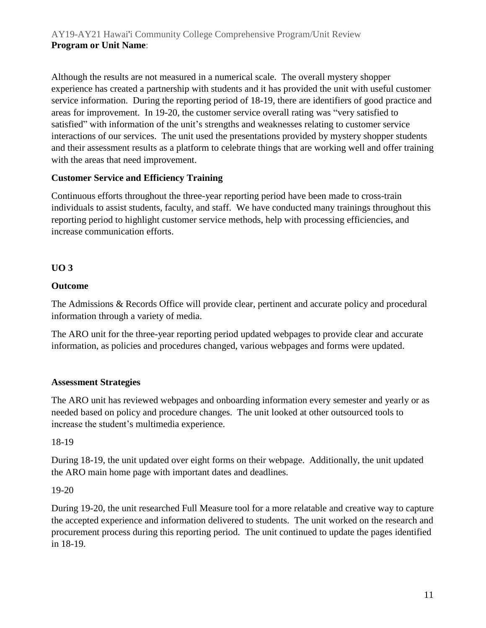Although the results are not measured in a numerical scale. The overall mystery shopper experience has created a partnership with students and it has provided the unit with useful customer service information. During the reporting period of 18-19, there are identifiers of good practice and areas for improvement. In 19-20, the customer service overall rating was "very satisfied to satisfied" with information of the unit's strengths and weaknesses relating to customer service interactions of our services. The unit used the presentations provided by mystery shopper students and their assessment results as a platform to celebrate things that are working well and offer training with the areas that need improvement.

#### **Customer Service and Efficiency Training**

Continuous efforts throughout the three-year reporting period have been made to cross-train individuals to assist students, faculty, and staff. We have conducted many trainings throughout this reporting period to highlight customer service methods, help with processing efficiencies, and increase communication efforts.

#### **UO 3**

#### **Outcome**

The Admissions & Records Office will provide clear, pertinent and accurate policy and procedural information through a variety of media.

The ARO unit for the three-year reporting period updated webpages to provide clear and accurate information, as policies and procedures changed, various webpages and forms were updated.

#### **Assessment Strategies**

The ARO unit has reviewed webpages and onboarding information every semester and yearly or as needed based on policy and procedure changes. The unit looked at other outsourced tools to increase the student's multimedia experience.

18-19

During 18-19, the unit updated over eight forms on their webpage. Additionally, the unit updated the ARO main home page with important dates and deadlines.

#### 19-20

During 19-20, the unit researched Full Measure tool for a more relatable and creative way to capture the accepted experience and information delivered to students. The unit worked on the research and procurement process during this reporting period. The unit continued to update the pages identified in 18-19.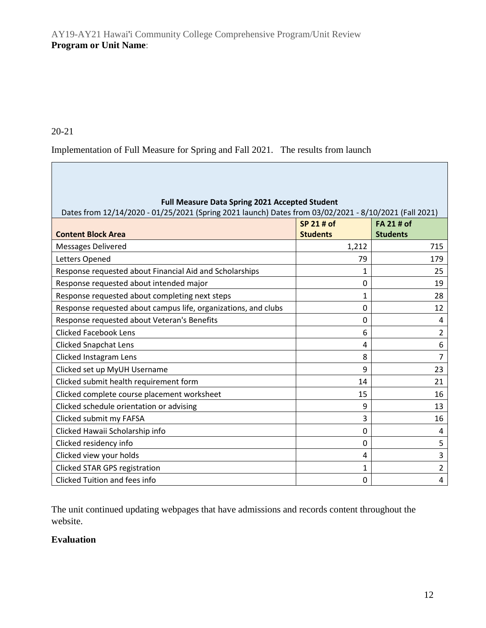#### 20-21

Implementation of Full Measure for Spring and Fall 2021. The results from launch

| <b>Full Measure Data Spring 2021 Accepted Student</b><br>Dates from 12/14/2020 - 01/25/2021 (Spring 2021 launch) Dates from 03/02/2021 - 8/10/2021 (Fall 2021) |                               |                                      |  |
|----------------------------------------------------------------------------------------------------------------------------------------------------------------|-------------------------------|--------------------------------------|--|
| <b>Content Block Area</b>                                                                                                                                      | SP 21 # of<br><b>Students</b> | <b>FA 21 # of</b><br><b>Students</b> |  |
| <b>Messages Delivered</b>                                                                                                                                      | 1,212                         | 715                                  |  |
| Letters Opened                                                                                                                                                 | 79                            | 179                                  |  |
| Response requested about Financial Aid and Scholarships                                                                                                        | 1                             | 25                                   |  |
| Response requested about intended major                                                                                                                        | 0                             | 19                                   |  |
| Response requested about completing next steps                                                                                                                 | 1                             | 28                                   |  |
| Response requested about campus life, organizations, and clubs                                                                                                 | 0                             | 12                                   |  |
| Response requested about Veteran's Benefits                                                                                                                    | 0                             | 4                                    |  |
| <b>Clicked Facebook Lens</b>                                                                                                                                   | 6                             | 2                                    |  |
| <b>Clicked Snapchat Lens</b>                                                                                                                                   | 4                             | 6                                    |  |
| Clicked Instagram Lens                                                                                                                                         | 8                             | 7                                    |  |
| Clicked set up MyUH Username                                                                                                                                   | 9                             | 23                                   |  |
| Clicked submit health requirement form                                                                                                                         | 14                            | 21                                   |  |
| Clicked complete course placement worksheet                                                                                                                    | 15                            | 16                                   |  |
| Clicked schedule orientation or advising                                                                                                                       | 9                             | 13                                   |  |
| Clicked submit my FAFSA                                                                                                                                        | 3                             | 16                                   |  |
| Clicked Hawaii Scholarship info                                                                                                                                | 0                             | 4                                    |  |
| Clicked residency info                                                                                                                                         | 0                             | 5                                    |  |
| Clicked view your holds                                                                                                                                        | 4                             | 3                                    |  |
| Clicked STAR GPS registration                                                                                                                                  | 1                             | 2                                    |  |
| Clicked Tuition and fees info                                                                                                                                  | 0                             | 4                                    |  |

The unit continued updating webpages that have admissions and records content throughout the website.

#### **Evaluation**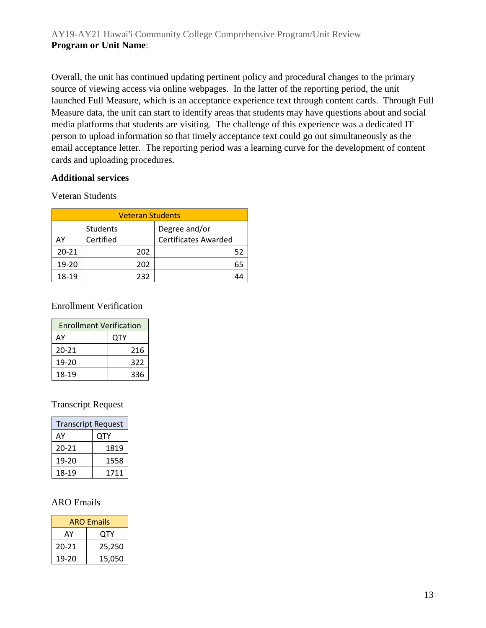Overall, the unit has continued updating pertinent policy and procedural changes to the primary source of viewing access via online webpages. In the latter of the reporting period, the unit launched Full Measure, which is an acceptance experience text through content cards. Through Full Measure data, the unit can start to identify areas that students may have questions about and social media platforms that students are visiting. The challenge of this experience was a dedicated IT person to upload information so that timely acceptance text could go out simultaneously as the email acceptance letter. The reporting period was a learning curve for the development of content cards and uploading procedures.

#### **Additional services**

Veteran Students

| <b>Veteran Students</b> |                       |                                              |  |
|-------------------------|-----------------------|----------------------------------------------|--|
| A٧                      | Students<br>Certified | Degree and/or<br><b>Certificates Awarded</b> |  |
| $20 - 21$               | 202                   | 52                                           |  |
| 19-20                   | 202                   | 65                                           |  |
| 18-19                   | 232                   |                                              |  |

#### Enrollment Verification

| <b>Enrollment Verification</b> |     |  |
|--------------------------------|-----|--|
| A٧                             | QTY |  |
| 20-21                          | 216 |  |
| 19-20                          | 322 |  |
| 18-19                          | 336 |  |

#### Transcript Request

| <b>Transcript Request</b> |      |  |
|---------------------------|------|--|
| OTY<br>AY                 |      |  |
| 20-21                     | 1819 |  |
| 19-20                     | 1558 |  |
| 18-19                     | 1711 |  |

#### ARO Emails

| <b>ARO Emails</b> |        |
|-------------------|--------|
| OTY<br>AY         |        |
| 20-21             | 25,250 |
| 19-20             | 15,050 |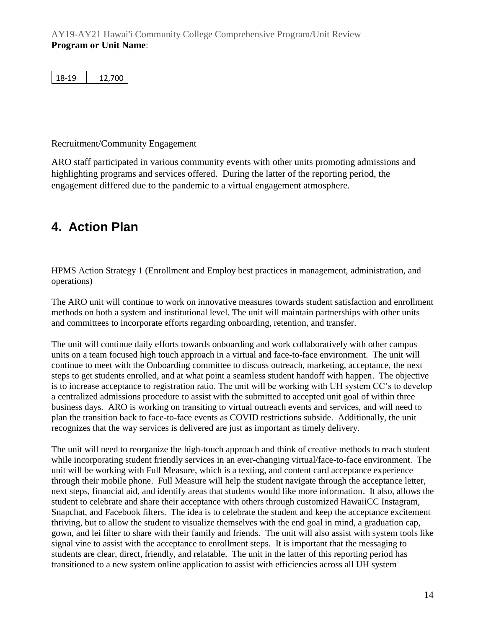| 18-19<br>12,700 |
|-----------------|
|-----------------|

#### Recruitment/Community Engagement

ARO staff participated in various community events with other units promoting admissions and highlighting programs and services offered. During the latter of the reporting period, the engagement differed due to the pandemic to a virtual engagement atmosphere.

## **4. Action Plan**

HPMS Action Strategy 1 (Enrollment and Employ best practices in management, administration, and operations)

The ARO unit will continue to work on innovative measures towards student satisfaction and enrollment methods on both a system and institutional level. The unit will maintain partnerships with other units and committees to incorporate efforts regarding onboarding, retention, and transfer.

The unit will continue daily efforts towards onboarding and work collaboratively with other campus units on a team focused high touch approach in a virtual and face-to-face environment. The unit will continue to meet with the Onboarding committee to discuss outreach, marketing, acceptance, the next steps to get students enrolled, and at what point a seamless student handoff with happen. The objective is to increase acceptance to registration ratio. The unit will be working with UH system CC's to develop a centralized admissions procedure to assist with the submitted to accepted unit goal of within three business days. ARO is working on transiting to virtual outreach events and services, and will need to plan the transition back to face-to-face events as COVID restrictions subside. Additionally, the unit recognizes that the way services is delivered are just as important as timely delivery.

The unit will need to reorganize the high-touch approach and think of creative methods to reach student while incorporating student friendly services in an ever-changing virtual/face-to-face environment. The unit will be working with Full Measure, which is a texting, and content card acceptance experience through their mobile phone. Full Measure will help the student navigate through the acceptance letter, next steps, financial aid, and identify areas that students would like more information. It also, allows the student to celebrate and share their acceptance with others through customized HawaiiCC Instagram, Snapchat, and Facebook filters. The idea is to celebrate the student and keep the acceptance excitement thriving, but to allow the student to visualize themselves with the end goal in mind, a graduation cap, gown, and lei filter to share with their family and friends. The unit will also assist with system tools like signal vine to assist with the acceptance to enrollment steps. It is important that the messaging to students are clear, direct, friendly, and relatable. The unit in the latter of this reporting period has transitioned to a new system online application to assist with efficiencies across all UH system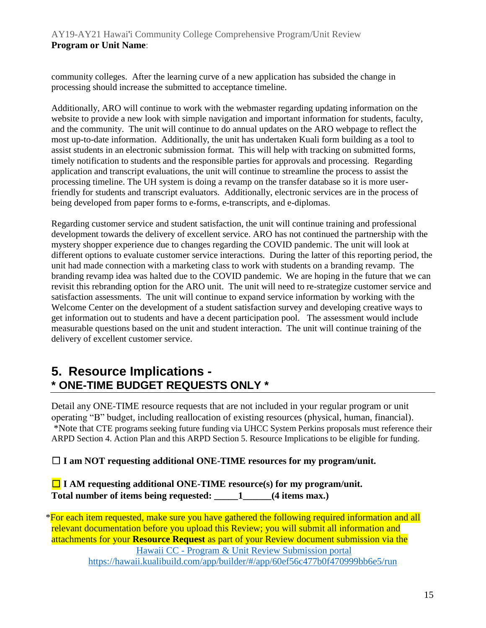community colleges. After the learning curve of a new application has subsided the change in processing should increase the submitted to acceptance timeline.

Additionally, ARO will continue to work with the webmaster regarding updating information on the website to provide a new look with simple navigation and important information for students, faculty, and the community. The unit will continue to do annual updates on the ARO webpage to reflect the most up-to-date information. Additionally, the unit has undertaken Kuali form building as a tool to assist students in an electronic submission format. This will help with tracking on submitted forms, timely notification to students and the responsible parties for approvals and processing. Regarding application and transcript evaluations, the unit will continue to streamline the process to assist the processing timeline. The UH system is doing a revamp on the transfer database so it is more userfriendly for students and transcript evaluators. Additionally, electronic services are in the process of being developed from paper forms to e-forms, e-transcripts, and e-diplomas.

Regarding customer service and student satisfaction, the unit will continue training and professional development towards the delivery of excellent service. ARO has not continued the partnership with the mystery shopper experience due to changes regarding the COVID pandemic. The unit will look at different options to evaluate customer service interactions. During the latter of this reporting period, the unit had made connection with a marketing class to work with students on a branding revamp. The branding revamp idea was halted due to the COVID pandemic. We are hoping in the future that we can revisit this rebranding option for the ARO unit. The unit will need to re-strategize customer service and satisfaction assessments. The unit will continue to expand service information by working with the Welcome Center on the development of a student satisfaction survey and developing creative ways to get information out to students and have a decent participation pool. The assessment would include measurable questions based on the unit and student interaction. The unit will continue training of the delivery of excellent customer service.

### **5. Resource Implications - \* ONE-TIME BUDGET REQUESTS ONLY \***

Detail any ONE-TIME resource requests that are not included in your regular program or unit operating "B" budget, including reallocation of existing resources (physical, human, financial). \*Note that CTE programs seeking future funding via UHCC System Perkins proposals must reference their ARPD Section 4. Action Plan and this ARPD Section 5. Resource Implications to be eligible for funding.

#### ☐ **I am NOT requesting additional ONE-TIME resources for my program/unit.**

☐ **I AM requesting additional ONE-TIME resource(s) for my program/unit. Total number of items being requested: \_\_\_\_\_1\_\_\_\_\_\_(4 items max.)**

\*For each item requested, make sure you have gathered the following required information and all relevant documentation before you upload this Review; you will submit all information and attachments for your **Resource Request** as part of your Review document submission via the Hawaii CC - [Program & Unit Review Submission portal](https://hawaii.kualibuild.com/app/builder/#/app/60ef56c477b0f470999bb6e5/run) <https://hawaii.kualibuild.com/app/builder/#/app/60ef56c477b0f470999bb6e5/run>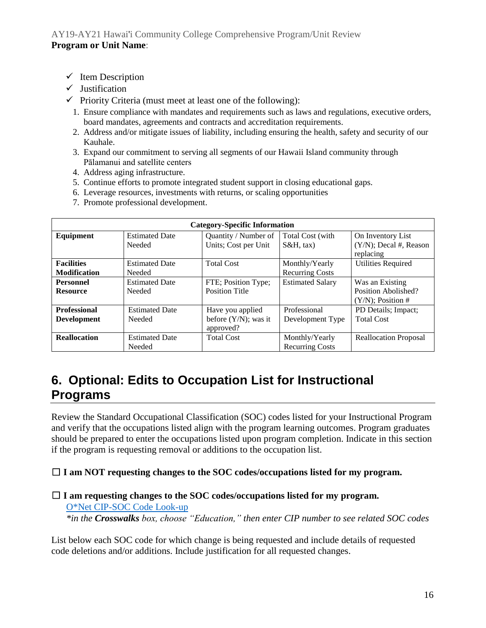- ✓ Item Description
- ✓ Justification
- $\checkmark$  Priority Criteria (must meet at least one of the following):
	- 1. Ensure compliance with mandates and requirements such as laws and regulations, executive orders, board mandates, agreements and contracts and accreditation requirements.
	- 2. Address and/or mitigate issues of liability, including ensuring the health, safety and security of our Kauhale.
	- 3. Expand our commitment to serving all segments of our Hawaii Island community through Pālamanui and satellite centers
	- 4. Address aging infrastructure.
	- 5. Continue efforts to promote integrated student support in closing educational gaps.
	- 6. Leverage resources, investments with returns, or scaling opportunities
	- 7. Promote professional development.

| <b>Category-Specific Information</b> |                                 |                                              |                                   |                                                |
|--------------------------------------|---------------------------------|----------------------------------------------|-----------------------------------|------------------------------------------------|
| Equipment                            | <b>Estimated Date</b><br>Needed | Quantity / Number of<br>Units; Cost per Unit | Total Cost (with<br>$S\&H$ , tax) | On Inventory List<br>$(Y/N)$ ; Decal #, Reason |
|                                      |                                 |                                              |                                   | replacing                                      |
| <b>Facilities</b>                    | <b>Estimated Date</b>           | <b>Total Cost</b>                            | Monthly/Yearly                    | <b>Utilities Required</b>                      |
| <b>Modification</b>                  | Needed                          |                                              | <b>Recurring Costs</b>            |                                                |
| <b>Personnel</b>                     | <b>Estimated Date</b>           | FTE; Position Type;                          | <b>Estimated Salary</b>           | Was an Existing                                |
| <b>Resource</b>                      | Needed                          | <b>Position Title</b>                        |                                   | Position Abolished?                            |
|                                      |                                 |                                              |                                   | $(Y/N)$ ; Position #                           |
| <b>Professional</b>                  | <b>Estimated Date</b>           | Have you applied                             | Professional                      | PD Details; Impact;                            |
| <b>Development</b>                   | Needed                          | before $(Y/N)$ ; was it                      | Development Type                  | <b>Total Cost</b>                              |
|                                      |                                 | approved?                                    |                                   |                                                |
| <b>Reallocation</b>                  | <b>Estimated Date</b>           | <b>Total Cost</b>                            | Monthly/Yearly                    | <b>Reallocation Proposal</b>                   |
|                                      | Needed                          |                                              | <b>Recurring Costs</b>            |                                                |

## **6. Optional: Edits to Occupation List for Instructional Programs**

Review the Standard Occupational Classification (SOC) codes listed for your Instructional Program and verify that the occupations listed align with the program learning outcomes. Program graduates should be prepared to enter the occupations listed upon program completion. Indicate in this section if the program is requesting removal or additions to the occupation list.

#### ☐ **I am NOT requesting changes to the SOC codes/occupations listed for my program.**

#### ☐ **I am requesting changes to the SOC codes/occupations listed for my program.** [O\\*Net CIP-SOC Code Look-up](http://www.onetonline.org/) *\*in the Crosswalks box, choose "Education," then enter CIP number to see related SOC codes*

List below each SOC code for which change is being requested and include details of requested code deletions and/or additions. Include justification for all requested changes.